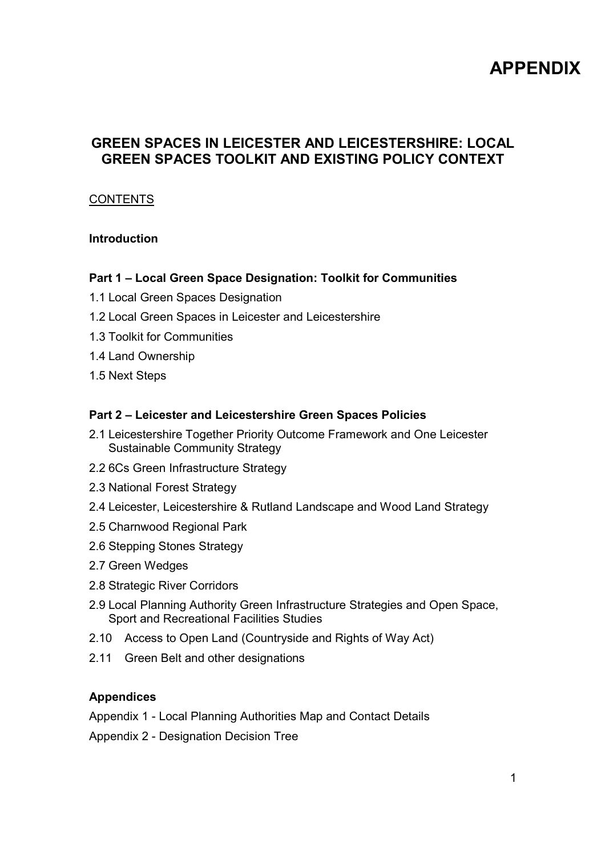# APPENDIX

# GREEN SPACES IN LEICESTER AND LEICESTERSHIRE: LOCAL GREEN SPACES TOOLKIT AND EXISTING POLICY CONTEXT

#### **CONTENTS**

#### Introduction

#### Part 1 – Local Green Space Designation: Toolkit for Communities

- 1.1 Local Green Spaces Designation
- 1.2 Local Green Spaces in Leicester and Leicestershire
- 1.3 Toolkit for Communities
- 1.4 Land Ownership
- 1.5 Next Steps

#### Part 2 – Leicester and Leicestershire Green Spaces Policies

- 2.1 Leicestershire Together Priority Outcome Framework and One Leicester Sustainable Community Strategy
- 2.2 6Cs Green Infrastructure Strategy
- 2.3 National Forest Strategy
- 2.4 Leicester, Leicestershire & Rutland Landscape and Wood Land Strategy
- 2.5 Charnwood Regional Park
- 2.6 Stepping Stones Strategy
- 2.7 Green Wedges
- 2.8 Strategic River Corridors
- 2.9 Local Planning Authority Green Infrastructure Strategies and Open Space, Sport and Recreational Facilities Studies
- 2.10 Access to Open Land (Countryside and Rights of Way Act)
- 2.11 Green Belt and other designations

#### Appendices

Appendix 1 - Local Planning Authorities Map and Contact Details

Appendix 2 - Designation Decision Tree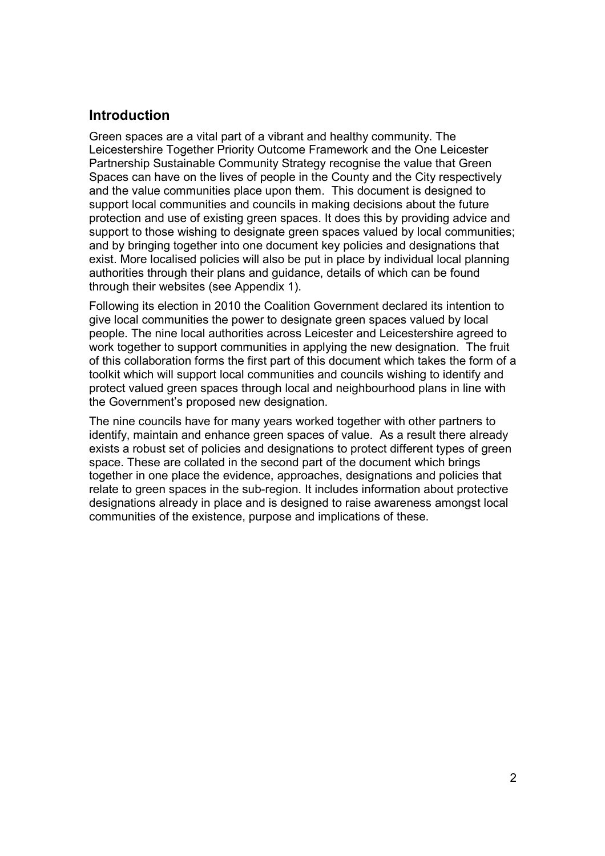# Introduction

Green spaces are a vital part of a vibrant and healthy community. The Leicestershire Together Priority Outcome Framework and the One Leicester Partnership Sustainable Community Strategy recognise the value that Green Spaces can have on the lives of people in the County and the City respectively and the value communities place upon them. This document is designed to support local communities and councils in making decisions about the future protection and use of existing green spaces. It does this by providing advice and support to those wishing to designate green spaces valued by local communities; and by bringing together into one document key policies and designations that exist. More localised policies will also be put in place by individual local planning authorities through their plans and guidance, details of which can be found through their websites (see Appendix 1).

Following its election in 2010 the Coalition Government declared its intention to give local communities the power to designate green spaces valued by local people. The nine local authorities across Leicester and Leicestershire agreed to work together to support communities in applying the new designation. The fruit of this collaboration forms the first part of this document which takes the form of a toolkit which will support local communities and councils wishing to identify and protect valued green spaces through local and neighbourhood plans in line with the Government's proposed new designation.

The nine councils have for many years worked together with other partners to identify, maintain and enhance green spaces of value. As a result there already exists a robust set of policies and designations to protect different types of green space. These are collated in the second part of the document which brings together in one place the evidence, approaches, designations and policies that relate to green spaces in the sub-region. It includes information about protective designations already in place and is designed to raise awareness amongst local communities of the existence, purpose and implications of these.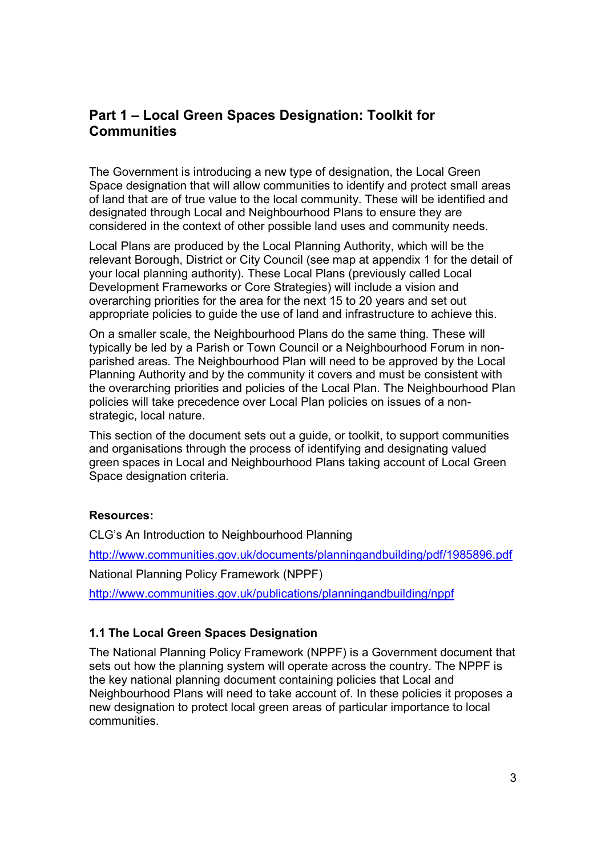# Part 1 – Local Green Spaces Designation: Toolkit for **Communities**

The Government is introducing a new type of designation, the Local Green Space designation that will allow communities to identify and protect small areas of land that are of true value to the local community. These will be identified and designated through Local and Neighbourhood Plans to ensure they are considered in the context of other possible land uses and community needs.

Local Plans are produced by the Local Planning Authority, which will be the relevant Borough, District or City Council (see map at appendix 1 for the detail of your local planning authority). These Local Plans (previously called Local Development Frameworks or Core Strategies) will include a vision and overarching priorities for the area for the next 15 to 20 years and set out appropriate policies to guide the use of land and infrastructure to achieve this.

On a smaller scale, the Neighbourhood Plans do the same thing. These will typically be led by a Parish or Town Council or a Neighbourhood Forum in nonparished areas. The Neighbourhood Plan will need to be approved by the Local Planning Authority and by the community it covers and must be consistent with the overarching priorities and policies of the Local Plan. The Neighbourhood Plan policies will take precedence over Local Plan policies on issues of a nonstrategic, local nature.

This section of the document sets out a guide, or toolkit, to support communities and organisations through the process of identifying and designating valued green spaces in Local and Neighbourhood Plans taking account of Local Green Space designation criteria.

#### Resources:

CLG's An Introduction to Neighbourhood Planning

http://www.communities.gov.uk/documents/planningandbuilding/pdf/1985896.pdf

National Planning Policy Framework (NPPF)

http://www.communities.gov.uk/publications/planningandbuilding/nppf

#### 1.1 The Local Green Spaces Designation

The National Planning Policy Framework (NPPF) is a Government document that sets out how the planning system will operate across the country. The NPPF is the key national planning document containing policies that Local and Neighbourhood Plans will need to take account of. In these policies it proposes a new designation to protect local green areas of particular importance to local communities.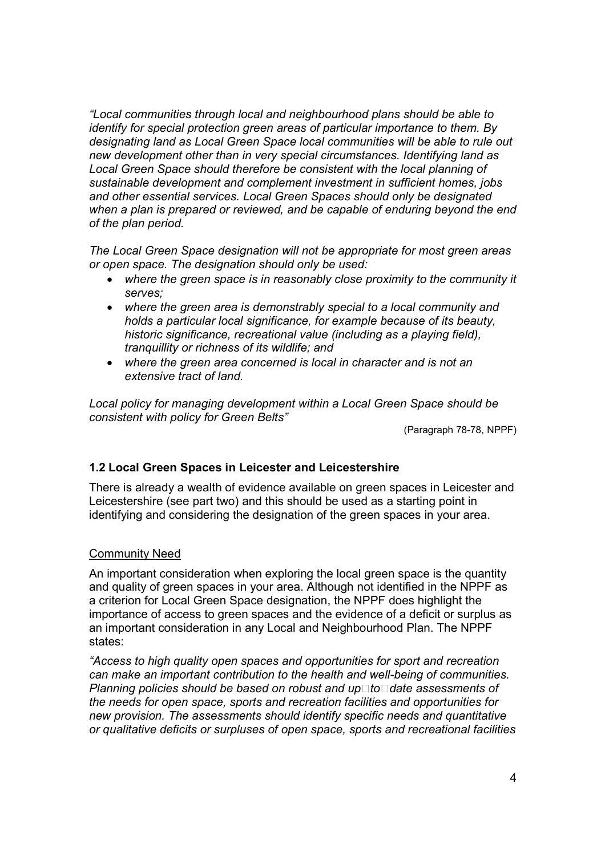"Local communities through local and neighbourhood plans should be able to identify for special protection green areas of particular importance to them. By designating land as Local Green Space local communities will be able to rule out new development other than in very special circumstances. Identifying land as Local Green Space should therefore be consistent with the local planning of sustainable development and complement investment in sufficient homes, jobs and other essential services. Local Green Spaces should only be designated when a plan is prepared or reviewed, and be capable of enduring beyond the end of the plan period.

The Local Green Space designation will not be appropriate for most green areas or open space. The designation should only be used:

- where the green space is in reasonably close proximity to the community it serves;
- where the green area is demonstrably special to a local community and holds a particular local significance, for example because of its beauty, historic significance, recreational value (including as a playing field), tranquillity or richness of its wildlife; and
- where the green area concerned is local in character and is not an extensive tract of land.

Local policy for managing development within a Local Green Space should be consistent with policy for Green Belts"

(Paragraph 78-78, NPPF)

#### 1.2 Local Green Spaces in Leicester and Leicestershire

There is already a wealth of evidence available on green spaces in Leicester and Leicestershire (see part two) and this should be used as a starting point in identifying and considering the designation of the green spaces in your area.

#### Community Need

An important consideration when exploring the local green space is the quantity and quality of green spaces in your area. Although not identified in the NPPF as a criterion for Local Green Space designation, the NPPF does highlight the importance of access to green spaces and the evidence of a deficit or surplus as an important consideration in any Local and Neighbourhood Plan. The NPPF states:

"Access to high quality open spaces and opportunities for sport and recreation can make an important contribution to the health and well-being of communities. Planning policies should be based on robust and up to date assessments of the needs for open space, sports and recreation facilities and opportunities for new provision. The assessments should identify specific needs and quantitative or qualitative deficits or surpluses of open space, sports and recreational facilities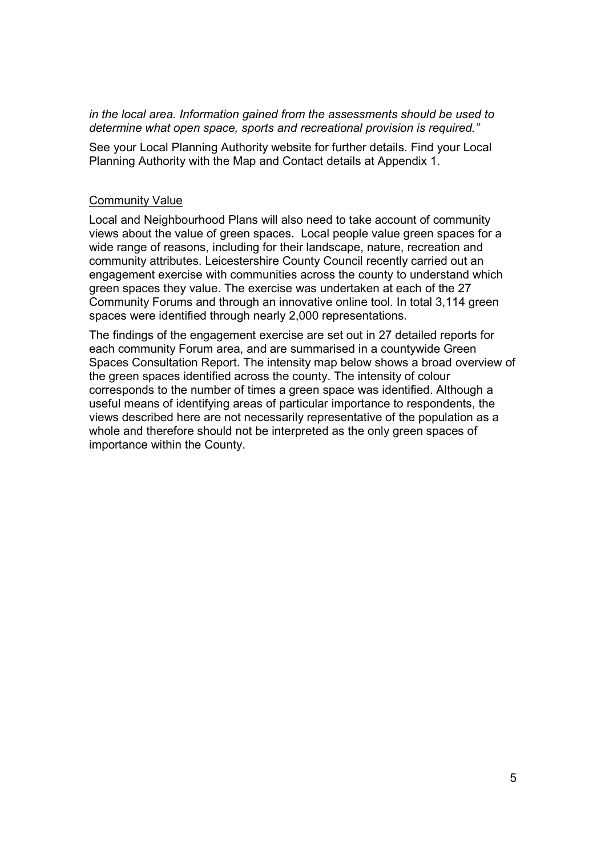in the local area. Information gained from the assessments should be used to determine what open space, sports and recreational provision is required."

See your Local Planning Authority website for further details. Find your Local Planning Authority with the Map and Contact details at Appendix 1.

#### Community Value

Local and Neighbourhood Plans will also need to take account of community views about the value of green spaces. Local people value green spaces for a wide range of reasons, including for their landscape, nature, recreation and community attributes. Leicestershire County Council recently carried out an engagement exercise with communities across the county to understand which green spaces they value. The exercise was undertaken at each of the 27 Community Forums and through an innovative online tool. In total 3,114 green spaces were identified through nearly 2,000 representations.

The findings of the engagement exercise are set out in 27 detailed reports for each community Forum area, and are summarised in a countywide Green Spaces Consultation Report. The intensity map below shows a broad overview of the green spaces identified across the county. The intensity of colour corresponds to the number of times a green space was identified. Although a useful means of identifying areas of particular importance to respondents, the views described here are not necessarily representative of the population as a whole and therefore should not be interpreted as the only green spaces of importance within the County.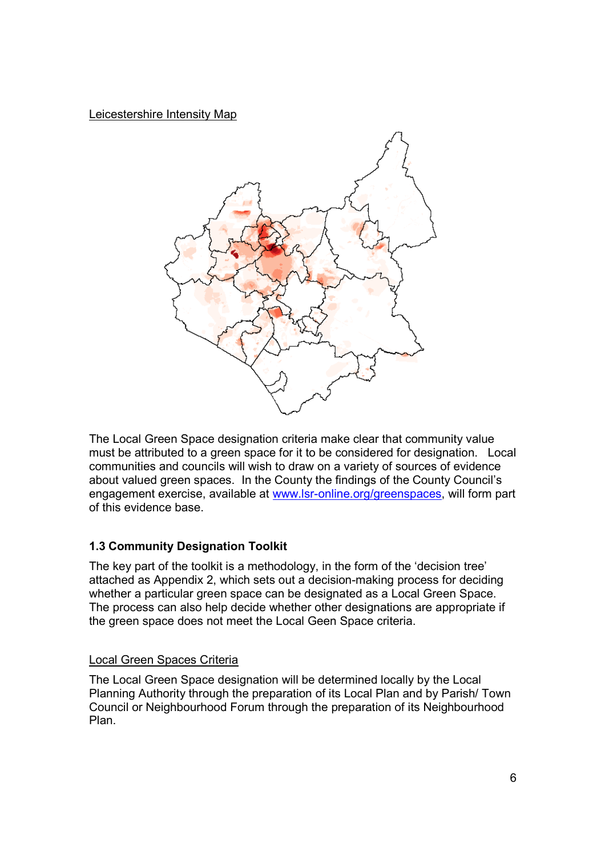Leicestershire Intensity Map



The Local Green Space designation criteria make clear that community value must be attributed to a green space for it to be considered for designation. Local communities and councils will wish to draw on a variety of sources of evidence about valued green spaces. In the County the findings of the County Council's engagement exercise, available at www.lsr-online.org/greenspaces, will form part of this evidence base.

# 1.3 Community Designation Toolkit

The key part of the toolkit is a methodology, in the form of the 'decision tree' attached as Appendix 2, which sets out a decision-making process for deciding whether a particular green space can be designated as a Local Green Space. The process can also help decide whether other designations are appropriate if the green space does not meet the Local Geen Space criteria.

# Local Green Spaces Criteria

The Local Green Space designation will be determined locally by the Local Planning Authority through the preparation of its Local Plan and by Parish/ Town Council or Neighbourhood Forum through the preparation of its Neighbourhood Plan.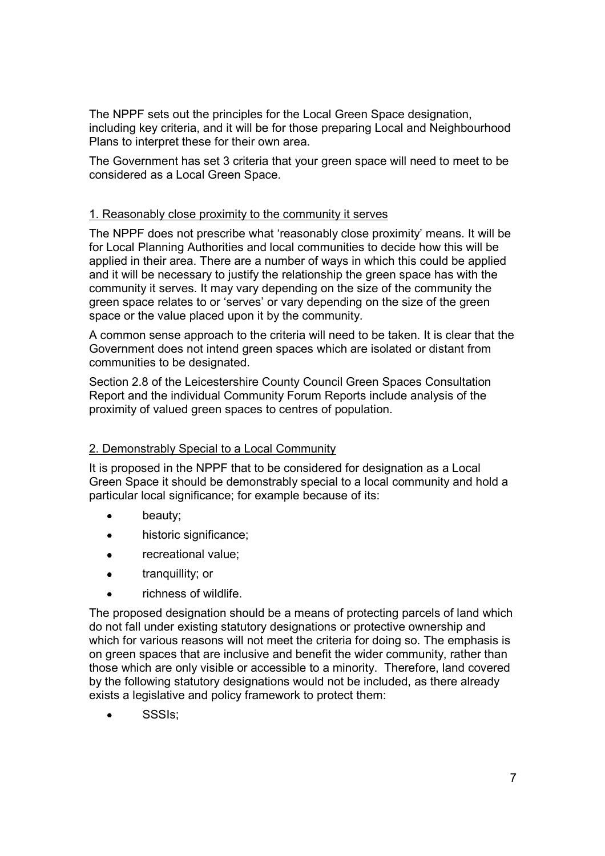The NPPF sets out the principles for the Local Green Space designation, including key criteria, and it will be for those preparing Local and Neighbourhood Plans to interpret these for their own area.

The Government has set 3 criteria that your green space will need to meet to be considered as a Local Green Space.

#### 1. Reasonably close proximity to the community it serves

The NPPF does not prescribe what 'reasonably close proximity' means. It will be for Local Planning Authorities and local communities to decide how this will be applied in their area. There are a number of ways in which this could be applied and it will be necessary to justify the relationship the green space has with the community it serves. It may vary depending on the size of the community the green space relates to or 'serves' or vary depending on the size of the green space or the value placed upon it by the community.

A common sense approach to the criteria will need to be taken. It is clear that the Government does not intend green spaces which are isolated or distant from communities to be designated.

Section 2.8 of the Leicestershire County Council Green Spaces Consultation Report and the individual Community Forum Reports include analysis of the proximity of valued green spaces to centres of population.

#### 2. Demonstrably Special to a Local Community

It is proposed in the NPPF that to be considered for designation as a Local Green Space it should be demonstrably special to a local community and hold a particular local significance; for example because of its:

- beauty;
- historic significance;
- recreational value;
- tranquillity; or
- richness of wildlife.

The proposed designation should be a means of protecting parcels of land which do not fall under existing statutory designations or protective ownership and which for various reasons will not meet the criteria for doing so. The emphasis is on green spaces that are inclusive and benefit the wider community, rather than those which are only visible or accessible to a minority. Therefore, land covered by the following statutory designations would not be included, as there already exists a legislative and policy framework to protect them:

• SSSIs;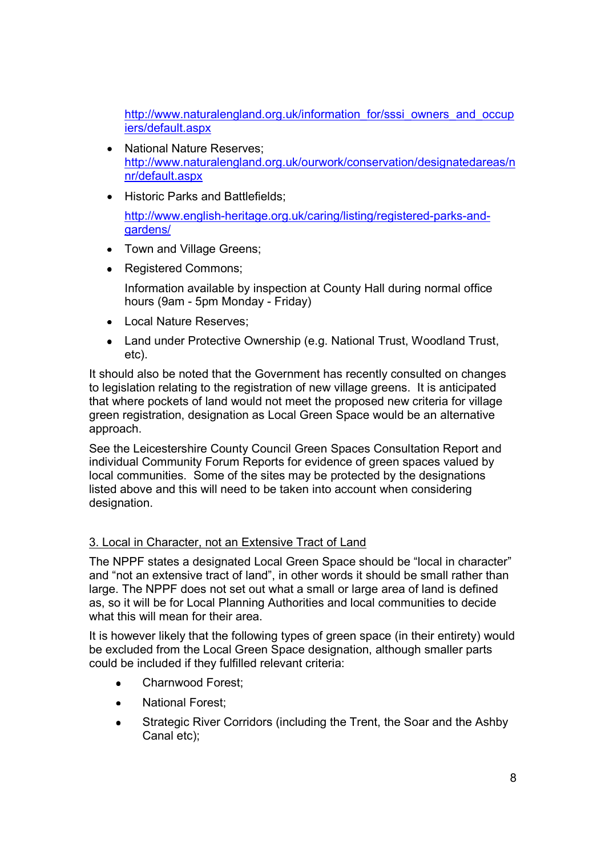http://www.naturalengland.org.uk/information\_for/sssi\_owners\_and\_occup iers/default.aspx

- National Nature Reserves; http://www.naturalengland.org.uk/ourwork/conservation/designatedareas/n nr/default.aspx
- Historic Parks and Battlefields;

http://www.english-heritage.org.uk/caring/listing/registered-parks-andgardens/

- Town and Village Greens;
- Registered Commons;

Information available by inspection at County Hall during normal office hours (9am - 5pm Monday - Friday)

- Local Nature Reserves;
- Land under Protective Ownership (e.g. National Trust, Woodland Trust, etc).

It should also be noted that the Government has recently consulted on changes to legislation relating to the registration of new village greens. It is anticipated that where pockets of land would not meet the proposed new criteria for village green registration, designation as Local Green Space would be an alternative approach.

See the Leicestershire County Council Green Spaces Consultation Report and individual Community Forum Reports for evidence of green spaces valued by local communities. Some of the sites may be protected by the designations listed above and this will need to be taken into account when considering designation.

#### 3. Local in Character, not an Extensive Tract of Land

The NPPF states a designated Local Green Space should be "local in character" and "not an extensive tract of land", in other words it should be small rather than large. The NPPF does not set out what a small or large area of land is defined as, so it will be for Local Planning Authorities and local communities to decide what this will mean for their area.

It is however likely that the following types of green space (in their entirety) would be excluded from the Local Green Space designation, although smaller parts could be included if they fulfilled relevant criteria:

- Charnwood Forest:
- National Forest;
- Strategic River Corridors (including the Trent, the Soar and the Ashby Canal etc);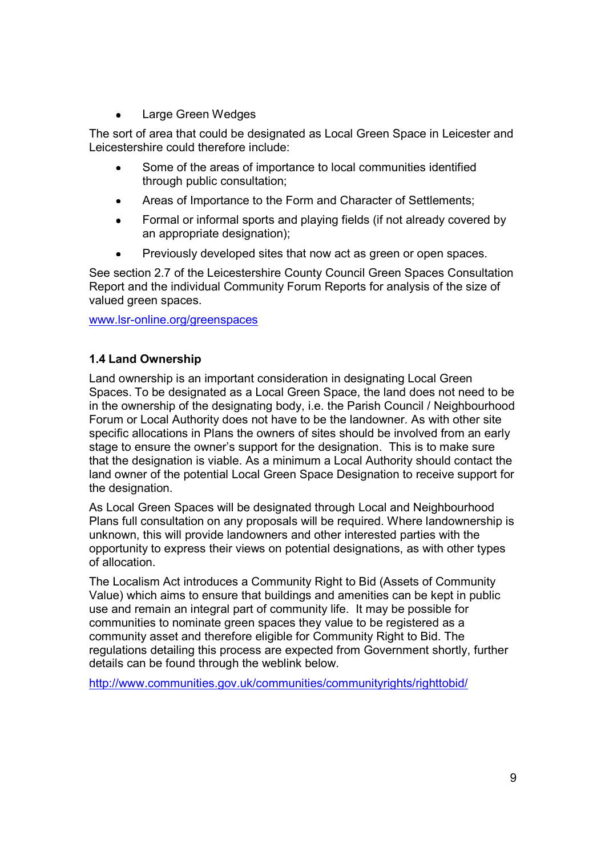• Large Green Wedges

The sort of area that could be designated as Local Green Space in Leicester and Leicestershire could therefore include:

- Some of the areas of importance to local communities identified through public consultation;
- Areas of Importance to the Form and Character of Settlements;
- Formal or informal sports and playing fields (if not already covered by an appropriate designation);
- Previously developed sites that now act as green or open spaces.

See section 2.7 of the Leicestershire County Council Green Spaces Consultation Report and the individual Community Forum Reports for analysis of the size of valued green spaces.

www.lsr-online.org/greenspaces

#### 1.4 Land Ownership

Land ownership is an important consideration in designating Local Green Spaces. To be designated as a Local Green Space, the land does not need to be in the ownership of the designating body, i.e. the Parish Council / Neighbourhood Forum or Local Authority does not have to be the landowner. As with other site specific allocations in Plans the owners of sites should be involved from an early stage to ensure the owner's support for the designation. This is to make sure that the designation is viable. As a minimum a Local Authority should contact the land owner of the potential Local Green Space Designation to receive support for the designation.

As Local Green Spaces will be designated through Local and Neighbourhood Plans full consultation on any proposals will be required. Where landownership is unknown, this will provide landowners and other interested parties with the opportunity to express their views on potential designations, as with other types of allocation.

The Localism Act introduces a Community Right to Bid (Assets of Community Value) which aims to ensure that buildings and amenities can be kept in public use and remain an integral part of community life. It may be possible for communities to nominate green spaces they value to be registered as a community asset and therefore eligible for Community Right to Bid. The regulations detailing this process are expected from Government shortly, further details can be found through the weblink below.

http://www.communities.gov.uk/communities/communityrights/righttobid/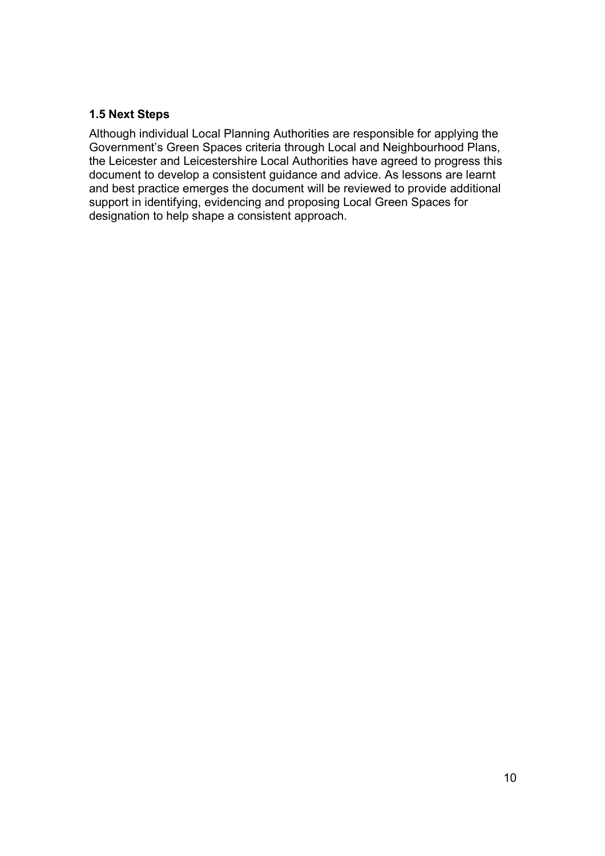#### 1.5 Next Steps

Although individual Local Planning Authorities are responsible for applying the Government's Green Spaces criteria through Local and Neighbourhood Plans, the Leicester and Leicestershire Local Authorities have agreed to progress this document to develop a consistent guidance and advice. As lessons are learnt and best practice emerges the document will be reviewed to provide additional support in identifying, evidencing and proposing Local Green Spaces for designation to help shape a consistent approach.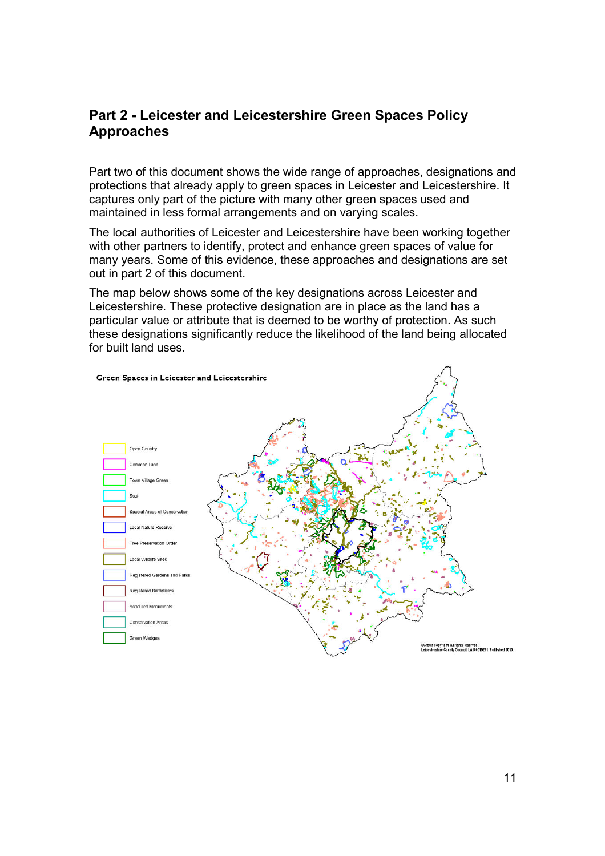# Part 2 - Leicester and Leicestershire Green Spaces Policy Approaches

Part two of this document shows the wide range of approaches, designations and protections that already apply to green spaces in Leicester and Leicestershire. It captures only part of the picture with many other green spaces used and maintained in less formal arrangements and on varying scales.

The local authorities of Leicester and Leicestershire have been working together with other partners to identify, protect and enhance green spaces of value for many years. Some of this evidence, these approaches and designations are set out in part 2 of this document.

The map below shows some of the key designations across Leicester and Leicestershire. These protective designation are in place as the land has a particular value or attribute that is deemed to be worthy of protection. As such these designations significantly reduce the likelihood of the land being allocated for built land uses.

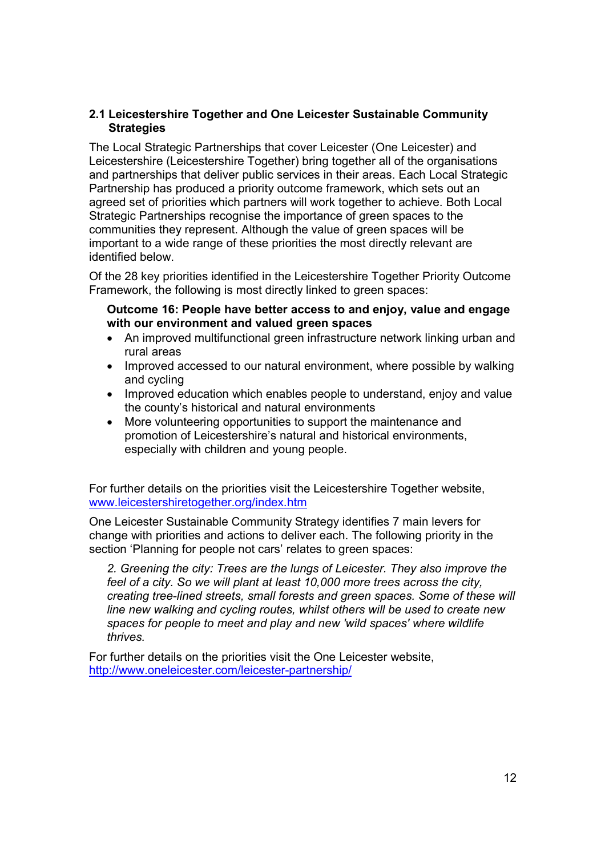#### 2.1 Leicestershire Together and One Leicester Sustainable Community **Strategies**

The Local Strategic Partnerships that cover Leicester (One Leicester) and Leicestershire (Leicestershire Together) bring together all of the organisations and partnerships that deliver public services in their areas. Each Local Strategic Partnership has produced a priority outcome framework, which sets out an agreed set of priorities which partners will work together to achieve. Both Local Strategic Partnerships recognise the importance of green spaces to the communities they represent. Although the value of green spaces will be important to a wide range of these priorities the most directly relevant are identified below.

Of the 28 key priorities identified in the Leicestershire Together Priority Outcome Framework, the following is most directly linked to green spaces:

#### Outcome 16: People have better access to and enjoy, value and engage with our environment and valued green spaces

- An improved multifunctional green infrastructure network linking urban and rural areas
- Improved accessed to our natural environment, where possible by walking and cycling
- Improved education which enables people to understand, enjoy and value the county's historical and natural environments
- More volunteering opportunities to support the maintenance and promotion of Leicestershire's natural and historical environments, especially with children and young people.

For further details on the priorities visit the Leicestershire Together website, www.leicestershiretogether.org/index.htm

One Leicester Sustainable Community Strategy identifies 7 main levers for change with priorities and actions to deliver each. The following priority in the section 'Planning for people not cars' relates to green spaces:

2. Greening the city: Trees are the lungs of Leicester. They also improve the feel of a city. So we will plant at least 10,000 more trees across the city, creating tree-lined streets, small forests and green spaces. Some of these will line new walking and cycling routes, whilst others will be used to create new spaces for people to meet and play and new 'wild spaces' where wildlife thrives.

For further details on the priorities visit the One Leicester website, http://www.oneleicester.com/leicester-partnership/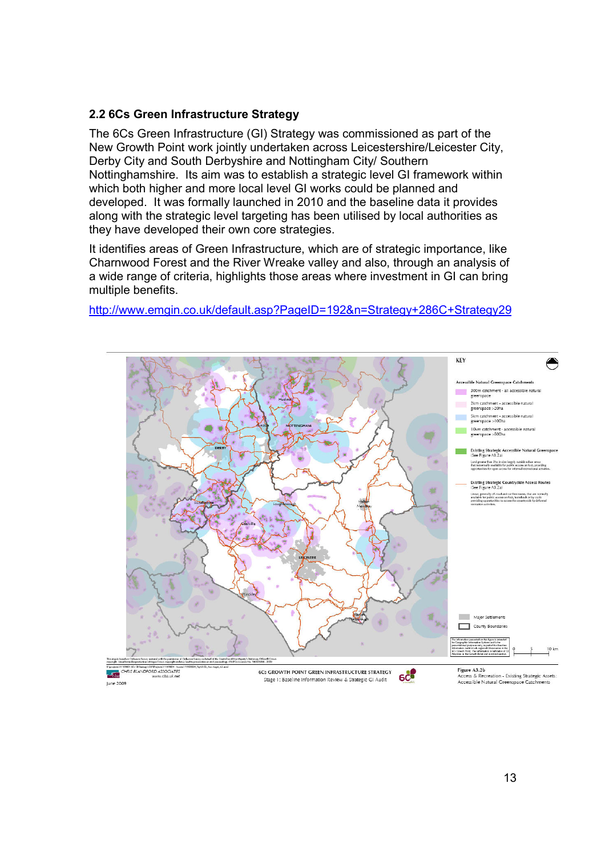#### 2.2 6Cs Green Infrastructure Strategy

The 6Cs Green Infrastructure (GI) Strategy was commissioned as part of the New Growth Point work jointly undertaken across Leicestershire/Leicester City, Derby City and South Derbyshire and Nottingham City/ Southern Nottinghamshire. Its aim was to establish a strategic level GI framework within which both higher and more local level GI works could be planned and developed. It was formally launched in 2010 and the baseline data it provides along with the strategic level targeting has been utilised by local authorities as they have developed their own core strategies.

It identifies areas of Green Infrastructure, which are of strategic importance, like Charnwood Forest and the River Wreake valley and also, through an analysis of a wide range of criteria, highlights those areas where investment in GI can bring multiple benefits.



http://www.emgin.co.uk/default.asp?PageID=192&n=Strategy+286C+Strategy29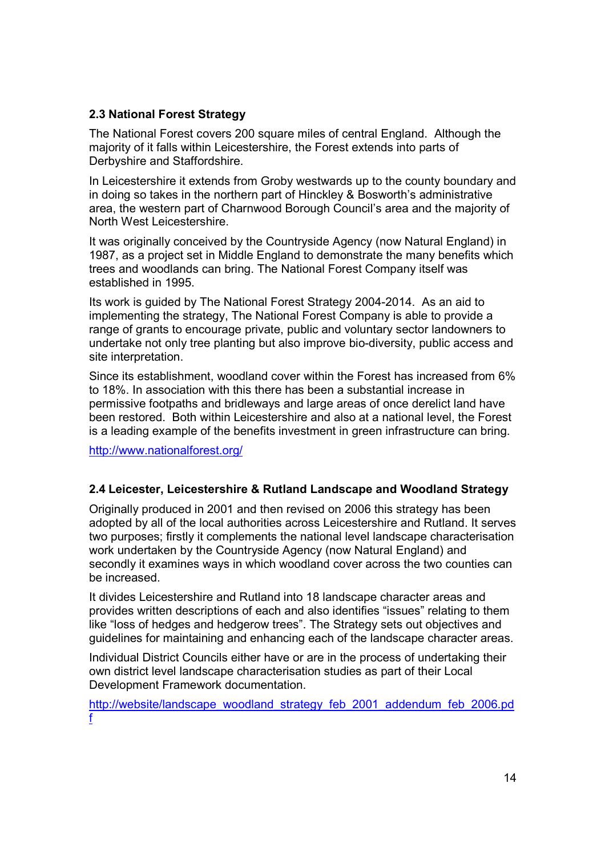### 2.3 National Forest Strategy

The National Forest covers 200 square miles of central England. Although the majority of it falls within Leicestershire, the Forest extends into parts of Derbyshire and Staffordshire.

In Leicestershire it extends from Groby westwards up to the county boundary and in doing so takes in the northern part of Hinckley & Bosworth's administrative area, the western part of Charnwood Borough Council's area and the majority of North West Leicestershire.

It was originally conceived by the Countryside Agency (now Natural England) in 1987, as a project set in Middle England to demonstrate the many benefits which trees and woodlands can bring. The National Forest Company itself was established in 1995.

Its work is guided by The National Forest Strategy 2004-2014. As an aid to implementing the strategy, The National Forest Company is able to provide a range of grants to encourage private, public and voluntary sector landowners to undertake not only tree planting but also improve bio-diversity, public access and site interpretation.

Since its establishment, woodland cover within the Forest has increased from 6% to 18%. In association with this there has been a substantial increase in permissive footpaths and bridleways and large areas of once derelict land have been restored. Both within Leicestershire and also at a national level, the Forest is a leading example of the benefits investment in green infrastructure can bring.

http://www.nationalforest.org/

#### 2.4 Leicester, Leicestershire & Rutland Landscape and Woodland Strategy

Originally produced in 2001 and then revised on 2006 this strategy has been adopted by all of the local authorities across Leicestershire and Rutland. It serves two purposes; firstly it complements the national level landscape characterisation work undertaken by the Countryside Agency (now Natural England) and secondly it examines ways in which woodland cover across the two counties can be increased.

It divides Leicestershire and Rutland into 18 landscape character areas and provides written descriptions of each and also identifies "issues" relating to them like "loss of hedges and hedgerow trees". The Strategy sets out objectives and guidelines for maintaining and enhancing each of the landscape character areas.

Individual District Councils either have or are in the process of undertaking their own district level landscape characterisation studies as part of their Local Development Framework documentation.

http://website/landscape\_woodland\_strategy\_feb\_2001\_addendum\_feb\_2006.pd f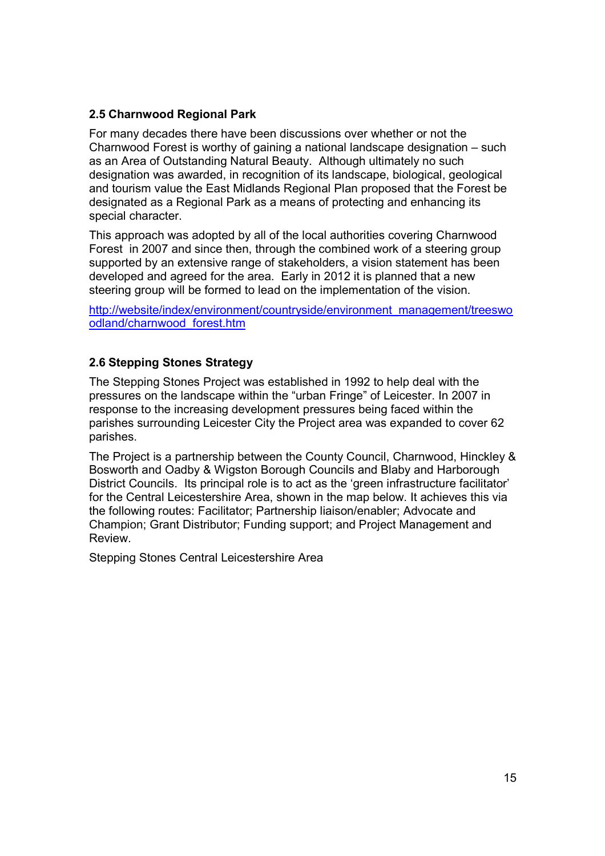### 2.5 Charnwood Regional Park

For many decades there have been discussions over whether or not the Charnwood Forest is worthy of gaining a national landscape designation – such as an Area of Outstanding Natural Beauty. Although ultimately no such designation was awarded, in recognition of its landscape, biological, geological and tourism value the East Midlands Regional Plan proposed that the Forest be designated as a Regional Park as a means of protecting and enhancing its special character.

This approach was adopted by all of the local authorities covering Charnwood Forest in 2007 and since then, through the combined work of a steering group supported by an extensive range of stakeholders, a vision statement has been developed and agreed for the area. Early in 2012 it is planned that a new steering group will be formed to lead on the implementation of the vision.

http://website/index/environment/countryside/environment\_management/treeswo odland/charnwood\_forest.htm

### 2.6 Stepping Stones Strategy

The Stepping Stones Project was established in 1992 to help deal with the pressures on the landscape within the "urban Fringe" of Leicester. In 2007 in response to the increasing development pressures being faced within the parishes surrounding Leicester City the Project area was expanded to cover 62 parishes.

The Project is a partnership between the County Council, Charnwood, Hinckley & Bosworth and Oadby & Wigston Borough Councils and Blaby and Harborough District Councils. Its principal role is to act as the 'green infrastructure facilitator' for the Central Leicestershire Area, shown in the map below. It achieves this via the following routes: Facilitator; Partnership liaison/enabler; Advocate and Champion; Grant Distributor; Funding support; and Project Management and Review.

Stepping Stones Central Leicestershire Area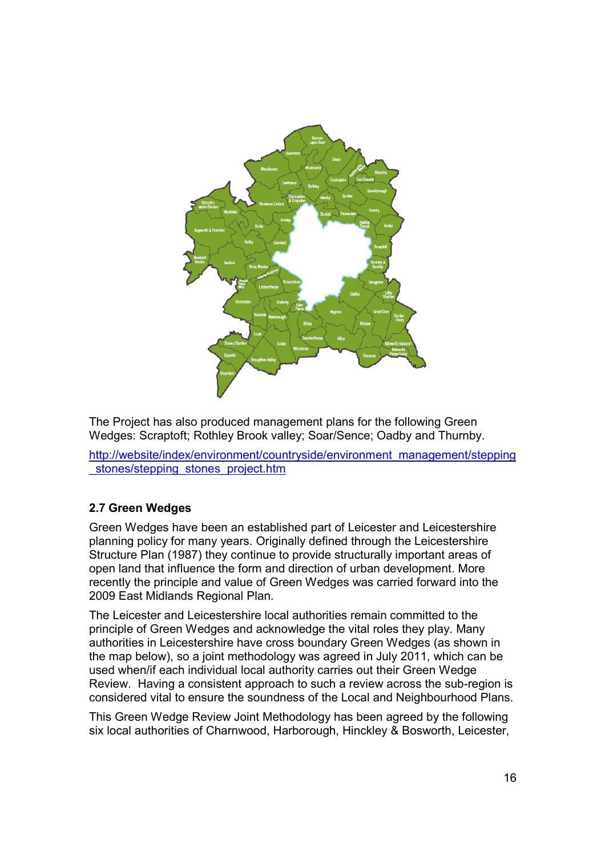

The Project has also produced management plans for the following Green Wedges: Scraptoft; Rothley Brook valley; Soar/Sence; Oadby and Thurnby.

http://website/index/environment/countryside/environment\_management/stepping stones/stepping\_stones\_project.htm

# 2.7 Green Wedges

Green Wedges have been an established part of Leicester and Leicestershire planning policy for many years. Originally defined through the Leicestershire Structure Plan (1987) they continue to provide structurally important areas of open land that influence the form and direction of urban development. More recently the principle and value of Green Wedges was carried forward into the 2009 East Midlands Regional Plan.

The Leicester and Leicestershire local authorities remain committed to the principle of Green Wedges and acknowledge the vital roles they play. Many authorities in Leicestershire have cross boundary Green Wedges (as shown in the map below), so a joint methodology was agreed in July 2011, which can be used when/if each individual local authority carries out their Green Wedge Review. Having a consistent approach to such a review across the sub-region is considered vital to ensure the soundness of the Local and Neighbourhood Plans.

This Green Wedge Review Joint Methodology has been agreed by the following six local authorities of Charnwood, Harborough, Hinckley & Bosworth, Leicester,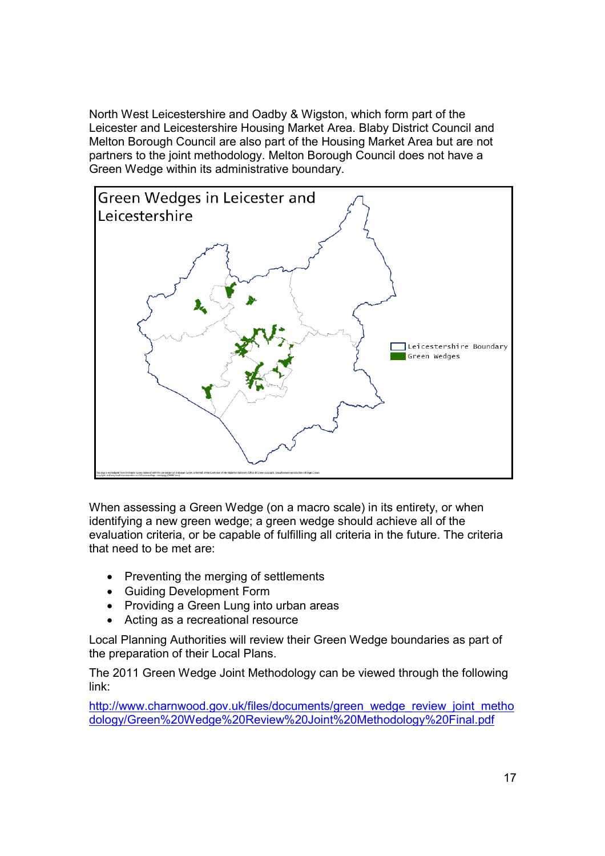North West Leicestershire and Oadby & Wigston, which form part of the Leicester and Leicestershire Housing Market Area. Blaby District Council and Melton Borough Council are also part of the Housing Market Area but are not partners to the joint methodology. Melton Borough Council does not have a Green Wedge within its administrative boundary.



When assessing a Green Wedge (on a macro scale) in its entirety, or when identifying a new green wedge; a green wedge should achieve all of the evaluation criteria, or be capable of fulfilling all criteria in the future. The criteria that need to be met are:

- Preventing the merging of settlements
- Guiding Development Form
- Providing a Green Lung into urban areas
- Acting as a recreational resource

Local Planning Authorities will review their Green Wedge boundaries as part of the preparation of their Local Plans.

The 2011 Green Wedge Joint Methodology can be viewed through the following link:

http://www.charnwood.gov.uk/files/documents/green\_wedge\_review\_joint\_metho dology/Green%20Wedge%20Review%20Joint%20Methodology%20Final.pdf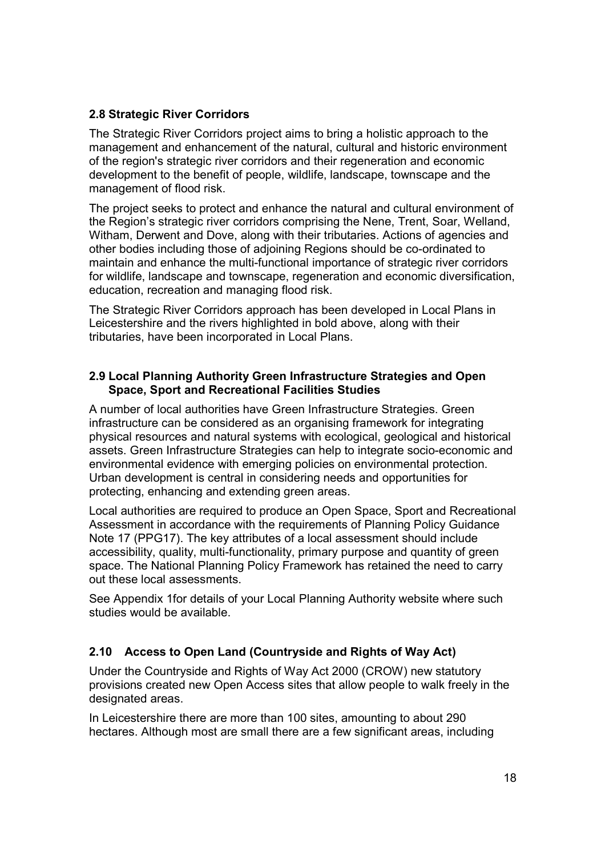### 2.8 Strategic River Corridors

The Strategic River Corridors project aims to bring a holistic approach to the management and enhancement of the natural, cultural and historic environment of the region's strategic river corridors and their regeneration and economic development to the benefit of people, wildlife, landscape, townscape and the management of flood risk.

The project seeks to protect and enhance the natural and cultural environment of the Region's strategic river corridors comprising the Nene, Trent, Soar, Welland, Witham, Derwent and Dove, along with their tributaries. Actions of agencies and other bodies including those of adjoining Regions should be co-ordinated to maintain and enhance the multi-functional importance of strategic river corridors for wildlife, landscape and townscape, regeneration and economic diversification, education, recreation and managing flood risk.

The Strategic River Corridors approach has been developed in Local Plans in Leicestershire and the rivers highlighted in bold above, along with their tributaries, have been incorporated in Local Plans.

#### 2.9 Local Planning Authority Green Infrastructure Strategies and Open Space, Sport and Recreational Facilities Studies

A number of local authorities have Green Infrastructure Strategies. Green infrastructure can be considered as an organising framework for integrating physical resources and natural systems with ecological, geological and historical assets. Green Infrastructure Strategies can help to integrate socio-economic and environmental evidence with emerging policies on environmental protection. Urban development is central in considering needs and opportunities for protecting, enhancing and extending green areas.

Local authorities are required to produce an Open Space, Sport and Recreational Assessment in accordance with the requirements of Planning Policy Guidance Note 17 (PPG17). The key attributes of a local assessment should include accessibility, quality, multi-functionality, primary purpose and quantity of green space. The National Planning Policy Framework has retained the need to carry out these local assessments.

See Appendix 1for details of your Local Planning Authority website where such studies would be available.

# 2.10 Access to Open Land (Countryside and Rights of Way Act)

Under the Countryside and Rights of Way Act 2000 (CROW) new statutory provisions created new Open Access sites that allow people to walk freely in the designated areas.

In Leicestershire there are more than 100 sites, amounting to about 290 hectares. Although most are small there are a few significant areas, including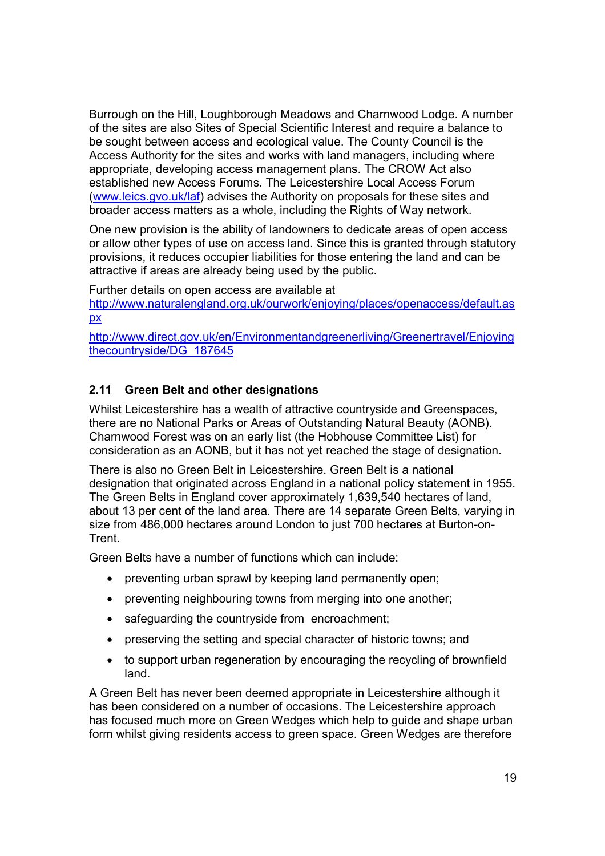Burrough on the Hill, Loughborough Meadows and Charnwood Lodge. A number of the sites are also Sites of Special Scientific Interest and require a balance to be sought between access and ecological value. The County Council is the Access Authority for the sites and works with land managers, including where appropriate, developing access management plans. The CROW Act also established new Access Forums. The Leicestershire Local Access Forum (www.leics.gvo.uk/laf) advises the Authority on proposals for these sites and broader access matters as a whole, including the Rights of Way network.

One new provision is the ability of landowners to dedicate areas of open access or allow other types of use on access land. Since this is granted through statutory provisions, it reduces occupier liabilities for those entering the land and can be attractive if areas are already being used by the public.

Further details on open access are available at

http://www.naturalengland.org.uk/ourwork/enjoying/places/openaccess/default.as px

http://www.direct.gov.uk/en/Environmentandgreenerliving/Greenertravel/Enjoying thecountryside/DG\_187645

# 2.11 Green Belt and other designations

Whilst Leicestershire has a wealth of attractive countryside and Greenspaces, there are no National Parks or Areas of Outstanding Natural Beauty (AONB). Charnwood Forest was on an early list (the Hobhouse Committee List) for consideration as an AONB, but it has not yet reached the stage of designation.

There is also no Green Belt in Leicestershire. Green Belt is a national designation that originated across England in a national policy statement in 1955. The Green Belts in England cover approximately 1,639,540 hectares of land, about 13 per cent of the land area. There are 14 separate Green Belts, varying in size from 486,000 hectares around London to just 700 hectares at Burton-on-Trent.

Green Belts have a number of functions which can include:

- preventing urban sprawl by keeping land permanently open;
- preventing neighbouring towns from merging into one another;
- safeguarding the countryside from encroachment;
- preserving the setting and special character of historic towns: and
- to support urban regeneration by encouraging the recycling of brownfield land.

A Green Belt has never been deemed appropriate in Leicestershire although it has been considered on a number of occasions. The Leicestershire approach has focused much more on Green Wedges which help to guide and shape urban form whilst giving residents access to green space. Green Wedges are therefore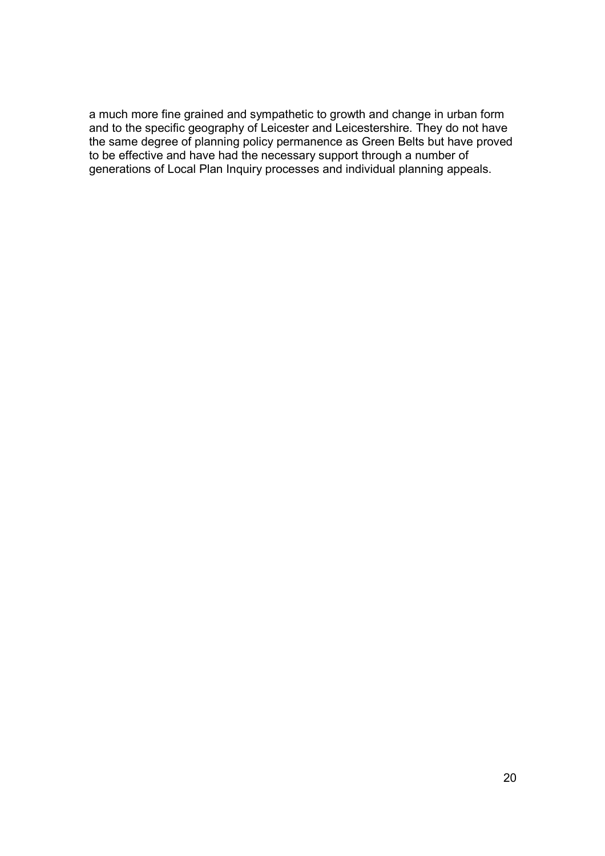a much more fine grained and sympathetic to growth and change in urban form and to the specific geography of Leicester and Leicestershire. They do not have the same degree of planning policy permanence as Green Belts but have proved to be effective and have had the necessary support through a number of generations of Local Plan Inquiry processes and individual planning appeals.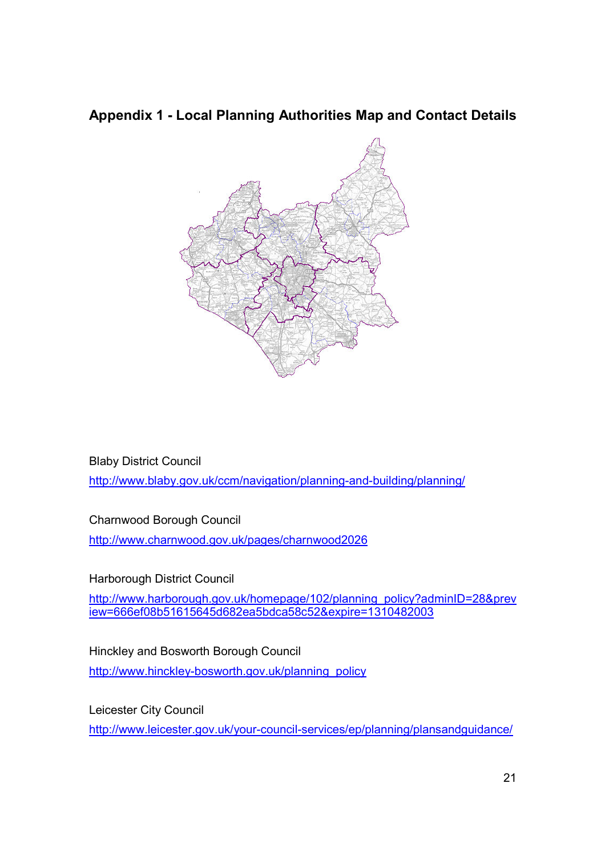# Appendix 1 - Local Planning Authorities Map and Contact Details



Blaby District Council http://www.blaby.gov.uk/ccm/navigation/planning-and-building/planning/

Charnwood Borough Council

http://www.charnwood.gov.uk/pages/charnwood2026

Harborough District Council

http://www.harborough.gov.uk/homepage/102/planning\_policy?adminID=28&prev iew=666ef08b51615645d682ea5bdca58c52&expire=1310482003

Hinckley and Bosworth Borough Council http://www.hinckley-bosworth.gov.uk/planning\_policy

Leicester City Council http://www.leicester.gov.uk/your-council-services/ep/planning/plansandguidance/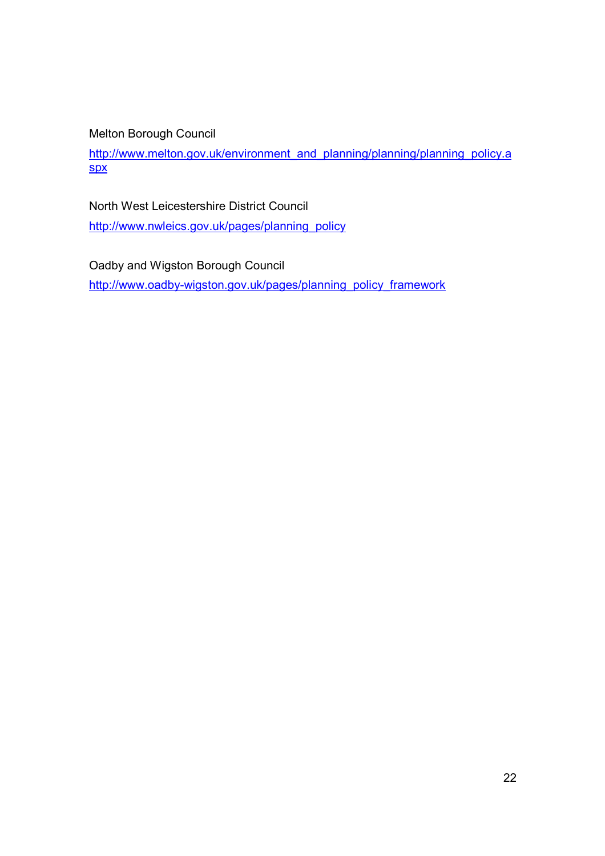Melton Borough Council

http://www.melton.gov.uk/environment\_and\_planning/planning/planning\_policy.a spx

North West Leicestershire District Council

http://www.nwleics.gov.uk/pages/planning\_policy

Oadby and Wigston Borough Council

http://www.oadby-wigston.gov.uk/pages/planning\_policy\_framework